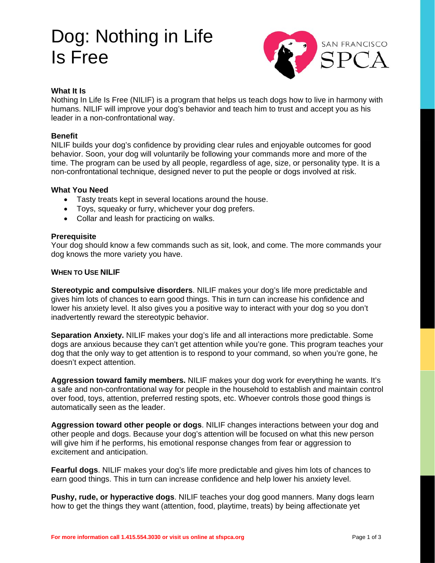# Dog: Nothing in Life Is Free



# **What It Is**

Nothing In Life Is Free (NILIF) is a program that helps us teach dogs how to live in harmony with humans. NILIF will improve your dog's behavior and teach him to trust and accept you as his leader in a non-confrontational way.

# **Benefit**

NILIF builds your dog's confidence by providing clear rules and enjoyable outcomes for good behavior. Soon, your dog will voluntarily be following your commands more and more of the time. The program can be used by all people, regardless of age, size, or personality type. It is a non-confrontational technique, designed never to put the people or dogs involved at risk.

## **What You Need**

- Tasty treats kept in several locations around the house.
- Toys, squeaky or furry, whichever your dog prefers.
- Collar and leash for practicing on walks.

## **Prerequisite**

Your dog should know a few commands such as sit, look, and come. The more commands your dog knows the more variety you have.

## **WHEN TO USE NILIF**

**Stereotypic and compulsive disorders**. NILIF makes your dog's life more predictable and gives him lots of chances to earn good things. This in turn can increase his confidence and lower his anxiety level. It also gives you a positive way to interact with your dog so you don't inadvertently reward the stereotypic behavior.

**Separation Anxiety.** NILIF makes your dog's life and all interactions more predictable. Some dogs are anxious because they can't get attention while you're gone. This program teaches your dog that the only way to get attention is to respond to your command, so when you're gone, he doesn't expect attention.

**Aggression toward family members.** NILIF makes your dog work for everything he wants. It's a safe and non-confrontational way for people in the household to establish and maintain control over food, toys, attention, preferred resting spots, etc. Whoever controls those good things is automatically seen as the leader.

**Aggression toward other people or dogs**. NILIF changes interactions between your dog and other people and dogs. Because your dog's attention will be focused on what this new person will give him if he performs, his emotional response changes from fear or aggression to excitement and anticipation.

**Fearful dogs**. NILIF makes your dog's life more predictable and gives him lots of chances to earn good things. This in turn can increase confidence and help lower his anxiety level.

**Pushy, rude, or hyperactive dogs**. NILIF teaches your dog good manners. Many dogs learn how to get the things they want (attention, food, playtime, treats) by being affectionate yet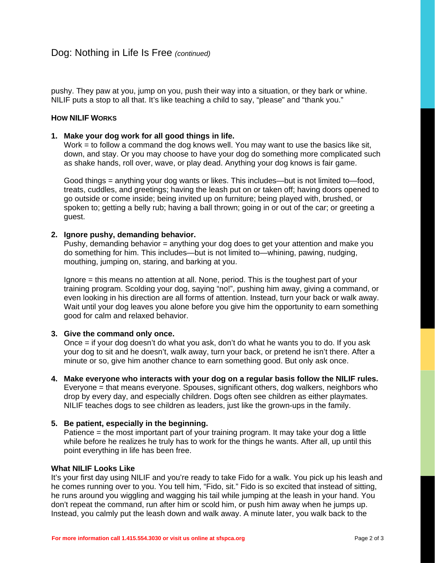pushy. They paw at you, jump on you, push their way into a situation, or they bark or whine. NILIF puts a stop to all that. It's like teaching a child to say, "please" and "thank you."

# **HOW NILIF WORKS**

# **1. Make your dog work for all good things in life.**

Work = to follow a command the dog knows well. You may want to use the basics like sit, down, and stay. Or you may choose to have your dog do something more complicated such as shake hands, roll over, wave, or play dead. Anything your dog knows is fair game.

Good things = anything your dog wants or likes. This includes—but is not limited to—food, treats, cuddles, and greetings; having the leash put on or taken off; having doors opened to go outside or come inside; being invited up on furniture; being played with, brushed, or spoken to; getting a belly rub; having a ball thrown; going in or out of the car; or greeting a guest.

# **2. Ignore pushy, demanding behavior.**

Pushy, demanding behavior  $=$  anything your dog does to get your attention and make you do something for him. This includes—but is not limited to—whining, pawing, nudging, mouthing, jumping on, staring, and barking at you.

Ignore = this means no attention at all. None, period. This is the toughest part of your training program. Scolding your dog, saying "no!", pushing him away, giving a command, or even looking in his direction are all forms of attention. Instead, turn your back or walk away. Wait until your dog leaves you alone before you give him the opportunity to earn something good for calm and relaxed behavior.

# **3. Give the command only once.**

Once = if your dog doesn't do what you ask, don't do what he wants you to do. If you ask your dog to sit and he doesn't, walk away, turn your back, or pretend he isn't there. After a minute or so, give him another chance to earn something good. But only ask once.

**4. Make everyone who interacts with your dog on a regular basis follow the NILIF rules.**  Everyone = that means everyone. Spouses, significant others, dog walkers, neighbors who drop by every day, and especially children. Dogs often see children as either playmates. NILIF teaches dogs to see children as leaders, just like the grown-ups in the family.

## **5. Be patient, especially in the beginning.**

Patience = the most important part of your training program. It may take your dog a little while before he realizes he truly has to work for the things he wants. After all, up until this point everything in life has been free.

## **What NILIF Looks Like**

It's your first day using NILIF and you're ready to take Fido for a walk. You pick up his leash and he comes running over to you. You tell him, "Fido, sit." Fido is so excited that instead of sitting, he runs around you wiggling and wagging his tail while jumping at the leash in your hand. You don't repeat the command, run after him or scold him, or push him away when he jumps up. Instead, you calmly put the leash down and walk away. A minute later, you walk back to the